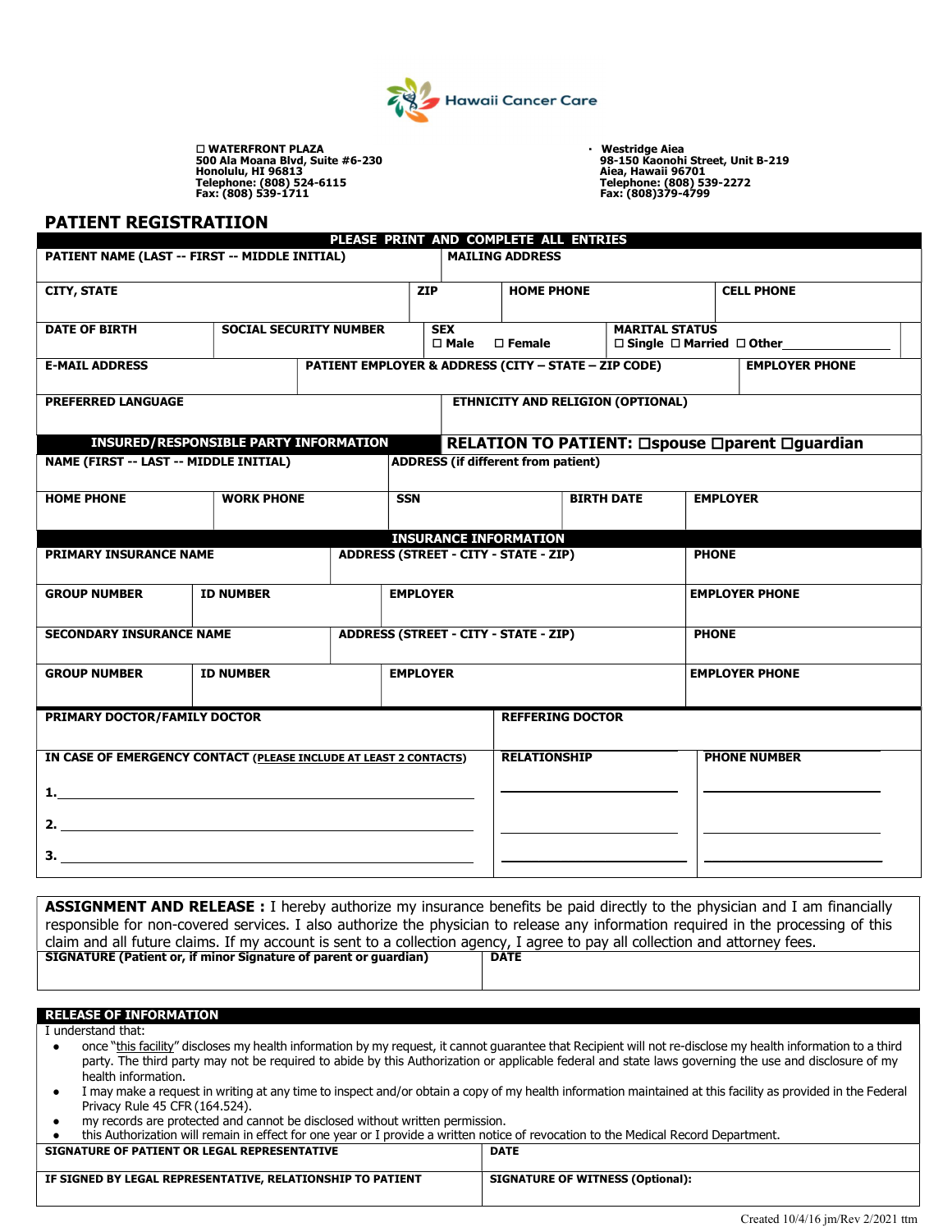

□ WATERFRONT PLAZA<br>
500 Ala Moana Blvd, Suite #6-230<br>
Honolulu, HI 96813<br>
Telephone: (808) 524-6115<br>
Telephone: (808) 539-1711<br>
Fax: (808) 539-1711<br>
Fax: (808)379-4799

500 Ala Moana Blvd, Suite #6-230<br>Honolulu, HI 96813<br>Telephone: (808) 524-6115<br>Tax: (808) 539-1711 Telephone: (808)379-4799<br>Fax: (808) 539-1711

#### PATIENT REGISTRATIION

|                                                       |                                                                   |            |                                                                 | PLEASE PRINT AND COMPLETE ALL ENTRIES                                 |                                                     |                       |                                                       |  |
|-------------------------------------------------------|-------------------------------------------------------------------|------------|-----------------------------------------------------------------|-----------------------------------------------------------------------|-----------------------------------------------------|-----------------------|-------------------------------------------------------|--|
|                                                       | PATIENT NAME (LAST -- FIRST -- MIDDLE INITIAL)                    |            |                                                                 | <b>MAILING ADDRESS</b>                                                |                                                     |                       |                                                       |  |
| <b>CITY, STATE</b>                                    |                                                                   |            | <b>ZIP</b>                                                      |                                                                       | <b>HOME PHONE</b>                                   |                       | <b>CELL PHONE</b>                                     |  |
| <b>DATE OF BIRTH</b><br><b>SOCIAL SECURITY NUMBER</b> |                                                                   |            | <b>SEX</b><br>$\square$ Male<br>$\square$ Female                |                                                                       | <b>MARITAL STATUS</b><br>□ Single □ Married □ Other |                       |                                                       |  |
| <b>E-MAIL ADDRESS</b>                                 |                                                                   |            | <b>PATIENT EMPLOYER &amp; ADDRESS (CITY - STATE - ZIP CODE)</b> |                                                                       |                                                     | <b>EMPLOYER PHONE</b> |                                                       |  |
| <b>PREFERRED LANGUAGE</b>                             |                                                                   |            | <b>ETHNICITY AND RELIGION (OPTIONAL)</b>                        |                                                                       |                                                     |                       |                                                       |  |
| NAME (FIRST -- LAST -- MIDDLE INITIAL)                | <b>INSURED/RESPONSIBLE PARTY INFORMATION</b>                      |            |                                                                 | <b>ADDRESS (if different from patient)</b>                            |                                                     |                       | <b>RELATION TO PATIENT: □spouse □parent □guardian</b> |  |
|                                                       |                                                                   |            |                                                                 |                                                                       |                                                     |                       |                                                       |  |
| <b>HOME PHONE</b>                                     | <b>WORK PHONE</b>                                                 | <b>SSN</b> |                                                                 | <b>BIRTH DATE</b>                                                     |                                                     | <b>EMPLOYER</b>       |                                                       |  |
| <b>PRIMARY INSURANCE NAME</b>                         |                                                                   |            |                                                                 | <b>INSURANCE INFORMATION</b><br>ADDRESS (STREET - CITY - STATE - ZIP) |                                                     | <b>PHONE</b>          |                                                       |  |
| <b>GROUP NUMBER</b>                                   | <b>ID NUMBER</b>                                                  |            | <b>EMPLOYER</b>                                                 |                                                                       |                                                     |                       | <b>EMPLOYER PHONE</b>                                 |  |
| <b>SECONDARY INSURANCE NAME</b>                       |                                                                   |            | <b>ADDRESS (STREET - CITY - STATE - ZIP)</b>                    |                                                                       |                                                     | <b>PHONE</b>          |                                                       |  |
| <b>GROUP NUMBER</b>                                   | <b>ID NUMBER</b>                                                  |            | <b>EMPLOYER</b>                                                 |                                                                       |                                                     |                       | <b>EMPLOYER PHONE</b>                                 |  |
| PRIMARY DOCTOR/FAMILY DOCTOR                          |                                                                   |            |                                                                 | <b>REFFERING DOCTOR</b>                                               |                                                     |                       |                                                       |  |
|                                                       | IN CASE OF EMERGENCY CONTACT (PLEASE INCLUDE AT LEAST 2 CONTACTS) |            |                                                                 | <b>RELATIONSHIP</b>                                                   |                                                     |                       | <b>PHONE NUMBER</b>                                   |  |
|                                                       |                                                                   |            |                                                                 |                                                                       |                                                     |                       |                                                       |  |
|                                                       |                                                                   |            |                                                                 |                                                                       |                                                     |                       |                                                       |  |
|                                                       |                                                                   |            |                                                                 |                                                                       |                                                     |                       |                                                       |  |

responsible for non-covered services. I also authorize the physician to release any information required in the processing of this claim and all future claims. If my account is sent to a collection agency, I agree to pay all collection and attorney fees.<br>SIGNATURE (Patient or, if minor Signature of parent or guardian) | DATE SIGNATURE (Patient or, if minor Signature of parent or guardian)

#### RELEASE OF INFORMATION

I understand that:

- once "this facility" discloses my health information by my request, it cannot guarantee that Recipient will not re-disclose my health information to a third party. The third party may not be required to abide by this Authorization or applicable federal and state laws governing the use and disclosure of my health information.
- I may make a request in writing at any time to inspect and/or obtain a copy of my health information maintained at this facility as provided in the Federal Privacy Rule 45 CFR (164.524).
- my records are protected and cannot be disclosed without written permission.
- this Authorization will remain in effect for one year or I provide a written notice of revocation to the Medical Record Department.

| SIGNATURE OF PATIENT OR LEGAL REPRESENTATIVE               | <b>DATE</b>                             |
|------------------------------------------------------------|-----------------------------------------|
| IF SIGNED BY LEGAL REPRESENTATIVE, RELATIONSHIP TO PATIENT | <b>SIGNATURE OF WITNESS (Optional):</b> |